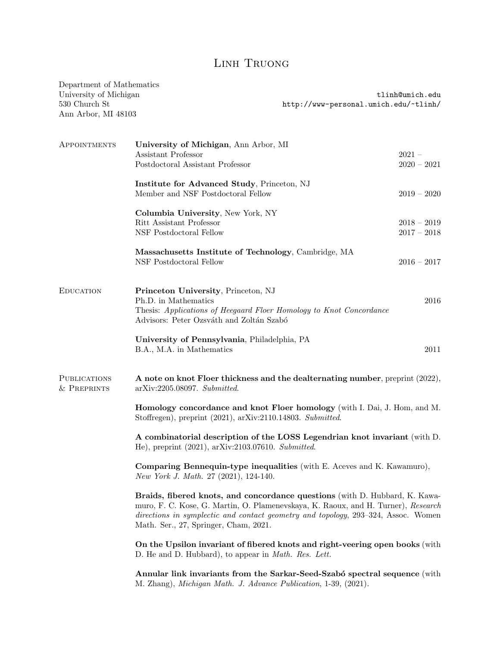## Linh Truong

| Department of Mathematics<br>University of Michigan<br>530 Church St<br>Ann Arbor, MI 48103 |                                                                                                                                                                                                                                                                                                | http://www-personal.umich.edu/~tlinh/ | tlinh@umich.edu                |
|---------------------------------------------------------------------------------------------|------------------------------------------------------------------------------------------------------------------------------------------------------------------------------------------------------------------------------------------------------------------------------------------------|---------------------------------------|--------------------------------|
| APPOINTMENTS                                                                                | University of Michigan, Ann Arbor, MI<br>Assistant Professor<br>Postdoctoral Assistant Professor                                                                                                                                                                                               |                                       | $2021 -$<br>$2020 - 2021$      |
|                                                                                             | Institute for Advanced Study, Princeton, NJ<br>Member and NSF Postdoctoral Fellow                                                                                                                                                                                                              |                                       | $2019 - 2020$                  |
|                                                                                             | Columbia University, New York, NY<br>Ritt Assistant Professor<br>NSF Postdoctoral Fellow                                                                                                                                                                                                       |                                       | $2018 - 2019$<br>$2017 - 2018$ |
|                                                                                             | Massachusetts Institute of Technology, Cambridge, MA<br>NSF Postdoctoral Fellow                                                                                                                                                                                                                |                                       | $2016 - 2017$                  |
| <b>EDUCATION</b>                                                                            | Princeton University, Princeton, NJ<br>Ph.D. in Mathematics<br>Thesis: Applications of Heegaard Floer Homology to Knot Concordance<br>Advisors: Peter Ozsváth and Zoltán Szabó                                                                                                                 |                                       | 2016                           |
|                                                                                             | University of Pennsylvania, Philadelphia, PA<br>B.A., M.A. in Mathematics                                                                                                                                                                                                                      |                                       | 2011                           |
| <b>PUBLICATIONS</b><br>& PREPRINTS                                                          | A note on knot Floer thickness and the dealternating number, preprint (2022),<br>$arXiv:2205.08097.$ Submitted.                                                                                                                                                                                |                                       |                                |
|                                                                                             | Homology concordance and knot Floer homology (with I. Dai, J. Hom, and M.<br>Stoffregen), preprint (2021), arXiv:2110.14803. Submitted.                                                                                                                                                        |                                       |                                |
|                                                                                             | A combinatorial description of the LOSS Legendrian knot invariant (with D.<br>He), preprint (2021), arXiv:2103.07610. Submitted.                                                                                                                                                               |                                       |                                |
|                                                                                             | <b>Comparing Bennequin-type inequalities</b> (with E. Aceves and K. Kawamuro),<br>New York J. Math. 27 (2021), 124-140.                                                                                                                                                                        |                                       |                                |
|                                                                                             | Braids, fibered knots, and concordance questions (with D. Hubbard, K. Kawa-<br>muro, F. C. Kose, G. Martin, O. Plamenevskaya, K. Raoux, and H. Turner), Research<br>directions in symplectic and contact geometry and topology, 293-324, Assoc. Women<br>Math. Ser., 27, Springer, Cham, 2021. |                                       |                                |
|                                                                                             | On the Upsilon invariant of fibered knots and right-veering open books (with<br>D. He and D. Hubbard), to appear in <i>Math. Res. Lett.</i>                                                                                                                                                    |                                       |                                |
|                                                                                             | Annular link invariants from the Sarkar-Seed-Szabó spectral sequence (with<br>M. Zhang), Michigan Math. J. Advance Publication, 1-39, (2021).                                                                                                                                                  |                                       |                                |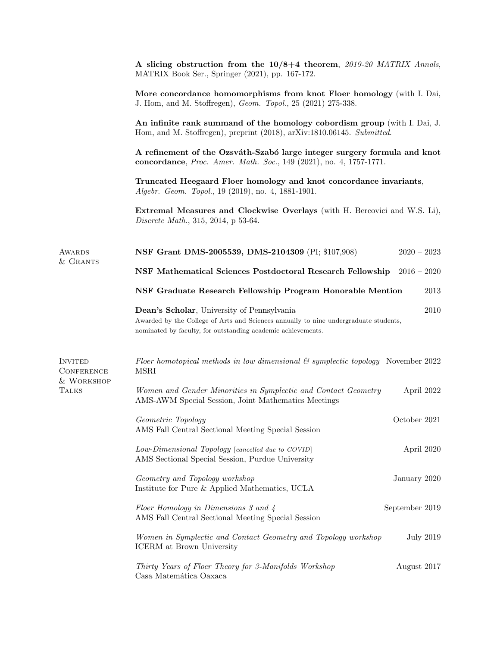|                                                                   | A slicing obstruction from the 10/8+4 theorem, 2019-20 MATRIX Annals,<br>MATRIX Book Ser., Springer (2021), pp. 167-172.                                                                                                                                                                             |                  |  |
|-------------------------------------------------------------------|------------------------------------------------------------------------------------------------------------------------------------------------------------------------------------------------------------------------------------------------------------------------------------------------------|------------------|--|
|                                                                   | More concordance homomorphisms from knot Floer homology (with I. Dai,<br>J. Hom, and M. Stoffregen), <i>Geom. Topol.</i> , 25 (2021) 275-338.<br>An infinite rank summand of the homology cobordism group (with I. Dai, J.<br>Hom, and M. Stoffregen), preprint (2018), arXiv:1810.06145. Submitted. |                  |  |
|                                                                   |                                                                                                                                                                                                                                                                                                      |                  |  |
|                                                                   | A refinement of the Ozsváth-Szabó large integer surgery formula and knot<br>concordance, Proc. Amer. Math. Soc., 149 (2021), no. 4, 1757-1771.                                                                                                                                                       |                  |  |
|                                                                   | Truncated Heegaard Floer homology and knot concordance invariants,<br>Algebr. Geom. Topol., 19 (2019), no. 4, 1881-1901.                                                                                                                                                                             |                  |  |
|                                                                   | <b>Extremal Measures and Clockwise Overlays</b> (with H. Bercovici and W.S. Li),<br>Discrete Math., 315, 2014, p 53-64.                                                                                                                                                                              |                  |  |
| AWARDS                                                            | NSF Grant DMS-2005539, DMS-2104309 (PI; \$107,908)                                                                                                                                                                                                                                                   | $2020 - 2023$    |  |
| & GRANTS                                                          | NSF Mathematical Sciences Postdoctoral Research Fellowship                                                                                                                                                                                                                                           | $2016-2020$      |  |
|                                                                   | NSF Graduate Research Fellowship Program Honorable Mention                                                                                                                                                                                                                                           | 2013             |  |
|                                                                   | Dean's Scholar, University of Pennsylvania<br>Awarded by the College of Arts and Sciences annually to nine undergraduate students,<br>nominated by faculty, for outstanding academic achievements.                                                                                                   | 2010             |  |
| <b>INVITED</b><br><b>CONFERENCE</b><br>& WORKSHOP<br><b>TALKS</b> | Floer homotopical methods in low dimensional $\mathcal C$ symplectic topology November 2022<br><b>MSRI</b>                                                                                                                                                                                           |                  |  |
|                                                                   | Women and Gender Minorities in Symplectic and Contact Geometry<br>AMS-AWM Special Session, Joint Mathematics Meetings                                                                                                                                                                                | April 2022       |  |
|                                                                   | Geometric Topology<br>AMS Fall Central Sectional Meeting Special Session                                                                                                                                                                                                                             | October 2021     |  |
|                                                                   | Low-Dimensional Topology [cancelled due to COVID]<br>AMS Sectional Special Session, Purdue University                                                                                                                                                                                                | April 2020       |  |
|                                                                   | Geometry and Topology workshop<br>Institute for Pure & Applied Mathematics, UCLA                                                                                                                                                                                                                     | January 2020     |  |
|                                                                   | Floer Homology in Dimensions 3 and 4<br>AMS Fall Central Sectional Meeting Special Session                                                                                                                                                                                                           | September 2019   |  |
|                                                                   | Women in Symplectic and Contact Geometry and Topology workshop<br>ICERM at Brown University                                                                                                                                                                                                          | <b>July 2019</b> |  |
|                                                                   | Thirty Years of Floer Theory for 3-Manifolds Workshop<br>Casa Matemática Oaxaca                                                                                                                                                                                                                      | August 2017      |  |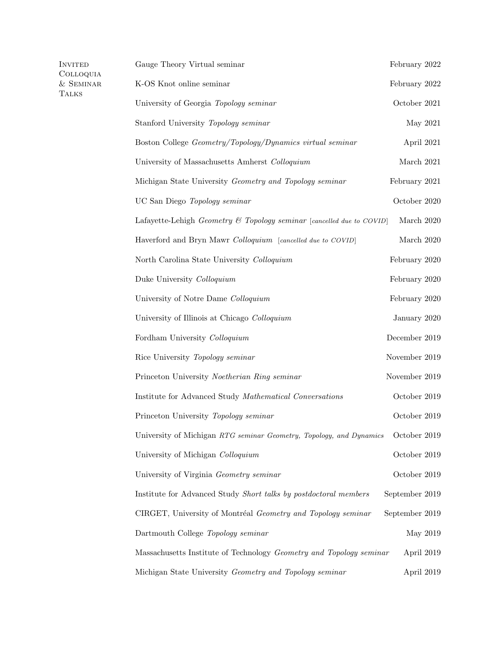| INVITED<br>Colloquia | Gauge Theory Virtual seminar                                          | February 2022  |
|----------------------|-----------------------------------------------------------------------|----------------|
| $&$ SEMINAR<br>TALKS | K-OS Knot online seminar                                              | February 2022  |
|                      | University of Georgia Topology seminar                                | October 2021   |
|                      | Stanford University Topology seminar                                  | May 2021       |
|                      | Boston College Geometry/Topology/Dynamics virtual seminar             | April 2021     |
|                      | University of Massachusetts Amherst Colloquium                        | March 2021     |
|                      | Michigan State University Geometry and Topology seminar               | February 2021  |
|                      | UC San Diego Topology seminar                                         | October 2020   |
|                      | Lafayette-Lehigh Geometry & Topology seminar [cancelled due to COVID] | March 2020     |
|                      | Haverford and Bryn Mawr Colloquium [cancelled due to COVID]           | March 2020     |
|                      | North Carolina State University Colloquium                            | February 2020  |
|                      | Duke University Colloquium                                            | February 2020  |
|                      | University of Notre Dame Colloquium                                   | February 2020  |
|                      | University of Illinois at Chicago Colloquium                          | January 2020   |
|                      | Fordham University Colloquium                                         | December 2019  |
|                      | Rice University Topology seminar                                      | November 2019  |
|                      | Princeton University Noetherian Ring seminar                          | November 2019  |
|                      | Institute for Advanced Study Mathematical Conversations               | October 2019   |
|                      | Princeton University Topology seminar                                 | October 2019   |
|                      | University of Michigan RTG seminar Geometry, Topology, and Dynamics   | October 2019   |
|                      | University of Michigan Colloquium                                     | October 2019   |
|                      | University of Virginia Geometry seminar                               | October 2019   |
|                      | Institute for Advanced Study Short talks by postdoctoral members      | September 2019 |
|                      | CIRGET, University of Montréal Geometry and Topology seminar          | September 2019 |
|                      | Dartmouth College Topology seminar                                    | May 2019       |
|                      | Massachusetts Institute of Technology Geometry and Topology seminar   | April 2019     |
|                      | Michigan State University Geometry and Topology seminar               | April 2019     |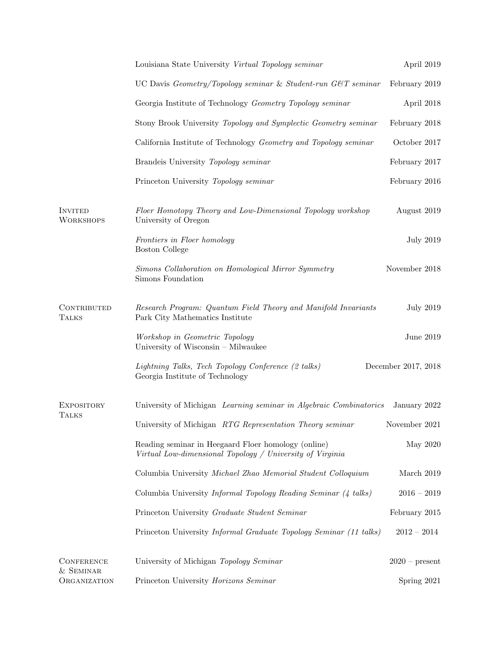|                                                | Louisiana State University Virtual Topology seminar                                                              | April 2019          |
|------------------------------------------------|------------------------------------------------------------------------------------------------------------------|---------------------|
|                                                | UC Davis $Geometry/Topology seminar \& Student-run GCT seminar$                                                  | February 2019       |
|                                                | Georgia Institute of Technology Geometry Topology seminar                                                        | April 2018          |
|                                                | Stony Brook University Topology and Symplectic Geometry seminar                                                  | February 2018       |
|                                                | California Institute of Technology Geometry and Topology seminar                                                 | October 2017        |
|                                                | Brandeis University Topology seminar                                                                             | February 2017       |
|                                                | Princeton University Topology seminar                                                                            | February 2016       |
| <b>INVITED</b><br><b>WORKSHOPS</b>             | Floer Homotopy Theory and Low-Dimensional Topology workshop<br>University of Oregon                              | August 2019         |
|                                                | Frontiers in Floer homology<br><b>Boston College</b>                                                             | <b>July 2019</b>    |
|                                                | Simons Collaboration on Homological Mirror Symmetry<br>Simons Foundation                                         | November 2018       |
| CONTRIBUTED<br><b>TALKS</b>                    | Research Program: Quantum Field Theory and Manifold Invariants<br>Park City Mathematics Institute                | <b>July 2019</b>    |
|                                                | Workshop in Geometric Topology<br>University of Wisconsin - Milwaukee                                            | June $2019$         |
|                                                | Lightning Talks, Tech Topology Conference (2 talks)<br>Georgia Institute of Technology                           | December 2017, 2018 |
| <b>EXPOSITORY</b><br><b>TALKS</b>              | University of Michigan Learning seminar in Algebraic Combinatorics                                               | January 2022        |
|                                                | University of Michigan RTG Representation Theory seminar                                                         | November 2021       |
|                                                | Reading seminar in Heegaard Floer homology (online)<br>Virtual Low-dimensional Topology / University of Virginia | May 2020            |
|                                                | Columbia University Michael Zhao Memorial Student Colloquium                                                     | March 2019          |
|                                                | Columbia University Informal Topology Reading Seminar (4 talks)                                                  | $2016 - 2019$       |
|                                                | Princeton University Graduate Student Seminar                                                                    | February 2015       |
|                                                | Princeton University <i>Informal Graduate Topology Seminar (11 talks)</i>                                        | $2012 - 2014$       |
| <b>CONFERENCE</b><br>& SEMINAR<br>ORGANIZATION | University of Michigan Topology Seminar                                                                          | $2020$ – present    |
|                                                | Princeton University Horizons Seminar                                                                            | Spring 2021         |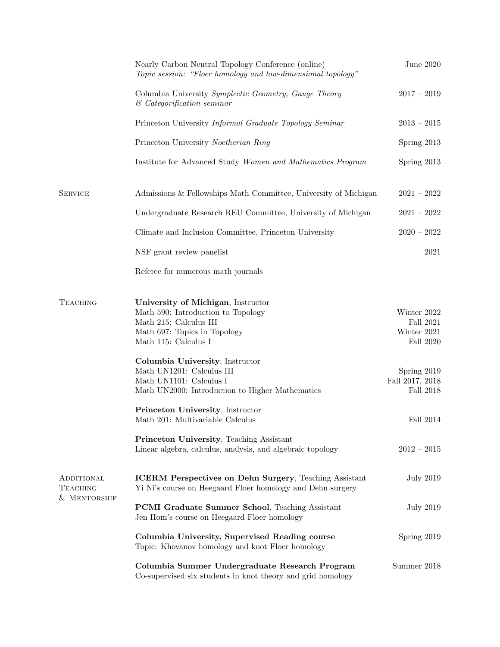|                                               | Nearly Carbon Neutral Topology Conference (online)<br>Topic session: "Floer homology and low-dimensional topology"                                                                                                                                                                                                                                                                                                                                                                                | June $2020$                                                                                                                         |
|-----------------------------------------------|---------------------------------------------------------------------------------------------------------------------------------------------------------------------------------------------------------------------------------------------------------------------------------------------------------------------------------------------------------------------------------------------------------------------------------------------------------------------------------------------------|-------------------------------------------------------------------------------------------------------------------------------------|
|                                               | Columbia University Symplectic Geometry, Gauge Theory<br>$\&$ Categorification seminar                                                                                                                                                                                                                                                                                                                                                                                                            | $2017 - 2019$                                                                                                                       |
|                                               | Princeton University Informal Graduate Topology Seminar                                                                                                                                                                                                                                                                                                                                                                                                                                           | $2013 - 2015$                                                                                                                       |
|                                               | Princeton University Noetherian Ring                                                                                                                                                                                                                                                                                                                                                                                                                                                              | Spring 2013                                                                                                                         |
|                                               | Institute for Advanced Study Women and Mathematics Program                                                                                                                                                                                                                                                                                                                                                                                                                                        | Spring 2013                                                                                                                         |
| <b>SERVICE</b>                                | Admissions & Fellowships Math Committee, University of Michigan                                                                                                                                                                                                                                                                                                                                                                                                                                   | $2021 - 2022$                                                                                                                       |
|                                               | Undergraduate Research REU Committee, University of Michigan                                                                                                                                                                                                                                                                                                                                                                                                                                      | $2021 - 2022$                                                                                                                       |
|                                               | Climate and Inclusion Committee, Princeton University                                                                                                                                                                                                                                                                                                                                                                                                                                             | $2020 - 2022$                                                                                                                       |
|                                               | NSF grant review panelist                                                                                                                                                                                                                                                                                                                                                                                                                                                                         | 2021                                                                                                                                |
|                                               | Referee for numerous math journals                                                                                                                                                                                                                                                                                                                                                                                                                                                                |                                                                                                                                     |
| <b>TEACHING</b>                               | University of Michigan, Instructor<br>Math 590: Introduction to Topology<br>Math 215: Calculus III<br>Math 697: Topics in Topology<br>Math 115: Calculus I<br>Columbia University, Instructor<br>Math UN1201: Calculus III<br>Math UN1101: Calculus I<br>Math UN2000: Introduction to Higher Mathematics<br>Princeton University, Instructor<br>Math 201: Multivariable Calculus<br><b>Princeton University, Teaching Assistant</b><br>Linear algebra, calculus, analysis, and algebraic topology | Winter 2022<br>Fall $2021$<br>Winter 2021<br>Fall 2020<br>Spring 2019<br>Fall 2017, 2018<br>Fall 2018<br>Fall 2014<br>$2012 - 2015$ |
| ADDITIONAL<br><b>TEACHING</b><br>& MENTORSHIP | <b>ICERM</b> Perspectives on Dehn Surgery, Teaching Assistant<br>Yi Ni's course on Heegaard Floer homology and Dehn surgery<br><b>PCMI Graduate Summer School</b> , Teaching Assistant<br>Jen Hom's course on Heegaard Floer homology                                                                                                                                                                                                                                                             | <b>July 2019</b><br><b>July 2019</b>                                                                                                |
|                                               | Columbia University, Supervised Reading course<br>Topic: Khovanov homology and knot Floer homology                                                                                                                                                                                                                                                                                                                                                                                                | Spring 2019                                                                                                                         |
|                                               | Columbia Summer Undergraduate Research Program<br>Co-supervised six students in knot theory and grid homology                                                                                                                                                                                                                                                                                                                                                                                     | Summer 2018                                                                                                                         |